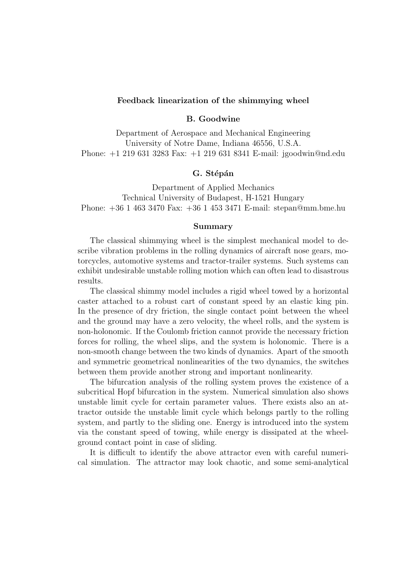# Feedback linearization of the shimmying wheel

# B. Goodwine

Department of Aerospace and Mechanical Engineering University of Notre Dame, Indiana 46556, U.S.A. Phone: +1 219 631 3283 Fax: +1 219 631 8341 E-mail: jgoodwin@nd.edu

### G. Stépán

Department of Applied Mechanics Technical University of Budapest, H-1521 Hungary Phone: +36 1 463 3470 Fax: +36 1 453 3471 E-mail: stepan@mm.bme.hu

## Summary

The classical shimmying wheel is the simplest mechanical model to describe vibration problems in the rolling dynamics of aircraft nose gears, motorcycles, automotive systems and tractor-trailer systems. Such systems can exhibit undesirable unstable rolling motion which can often lead to disastrous results.

The classical shimmy model includes a rigid wheel towed by a horizontal caster attached to a robust cart of constant speed by an elastic king pin. In the presence of dry friction, the single contact point between the wheel and the ground may have a zero velocity, the wheel rolls, and the system is non-holonomic. If the Coulomb friction cannot provide the necessary friction forces for rolling, the wheel slips, and the system is holonomic. There is a non-smooth change between the two kinds of dynamics. Apart of the smooth and symmetric geometrical nonlinearities of the two dynamics, the switches between them provide another strong and important nonlinearity.

The bifurcation analysis of the rolling system proves the existence of a subcritical Hopf bifurcation in the system. Numerical simulation also shows unstable limit cycle for certain parameter values. There exists also an attractor outside the unstable limit cycle which belongs partly to the rolling system, and partly to the sliding one. Energy is introduced into the system via the constant speed of towing, while energy is dissipated at the wheelground contact point in case of sliding.

It is difficult to identify the above attractor even with careful numerical simulation. The attractor may look chaotic, and some semi-analytical